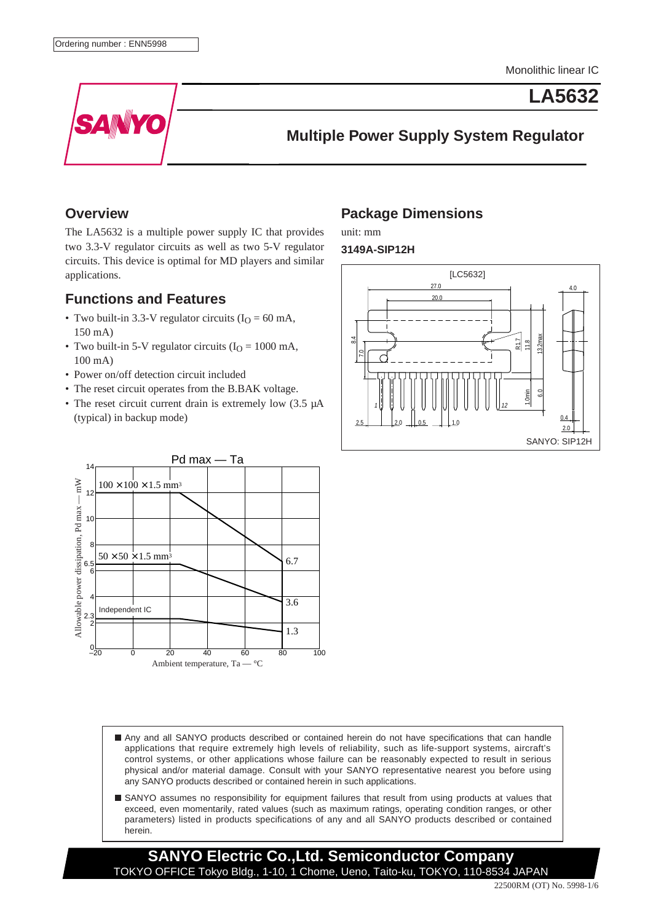**LA5632**



**Multiple Power Supply System Regulator**

### **Overview**

The LA5632 is a multiple power supply IC that provides two 3.3-V regulator circuits as well as two 5-V regulator circuits. This device is optimal for MD players and similar applications.

### **Functions and Features**

- Two built-in 3.3-V regulator circuits  $(I<sub>O</sub> = 60$  mA, 150 mA)
- Two built-in 5-V regulator circuits ( $I<sub>O</sub> = 1000$  mA, 100 mA)
- Power on/off detection circuit included
- The reset circuit operates from the B.BAK voltage.
- The reset circuit current drain is extremely low (3.5  $\mu$ A) (typical) in backup mode)



## **Package Dimensions**

unit: mm

**3149A-SIP12H**



- Any and all SANYO products described or contained herein do not have specifications that can handle applications that require extremely high levels of reliability, such as life-support systems, aircraft's control systems, or other applications whose failure can be reasonably expected to result in serious physical and/or material damage. Consult with your SANYO representative nearest you before using any SANYO products described or contained herein in such applications.
- SANYO assumes no responsibility for equipment failures that result from using products at values that exceed, even momentarily, rated values (such as maximum ratings, operating condition ranges, or other parameters) listed in products specifications of any and all SANYO products described or contained herein.

**SANYO Electric Co.,Ltd. Semiconductor Company** TOKYO OFFICE Tokyo Bldg., 1-10, 1 Chome, Ueno, Taito-ku, TOKYO, 110-8534 JAPAN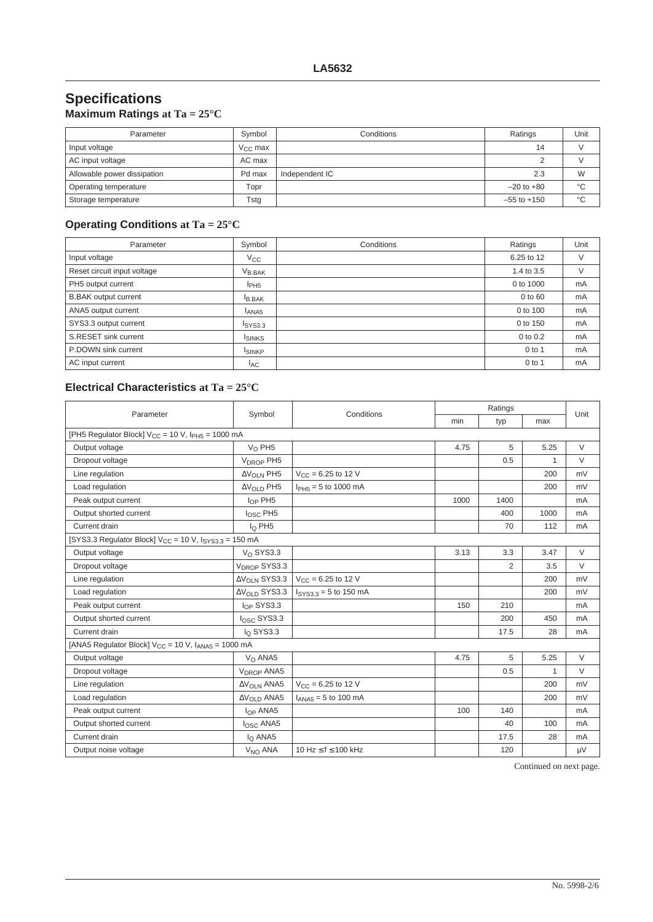# **Specifications**

| Maximum Ratings at Ta = $25^{\circ}$ C |  |  |  |
|----------------------------------------|--|--|--|
|----------------------------------------|--|--|--|

| Parameter                   | Symbol       | Conditions     | Ratings         | Unit    |
|-----------------------------|--------------|----------------|-----------------|---------|
| Input voltage               | $V_{CC}$ max |                | 14              |         |
| AC input voltage            | AC max       |                |                 |         |
| Allowable power dissipation | Pd max       | Independent IC | 2.3             | W       |
| Operating temperature       | Topr         |                | $-20$ to $+80$  | °C      |
| Storage temperature         | Tstg         |                | $-55$ to $+150$ | $\circ$ |

## **Operating Conditions at Ta = 25°C**

| Parameter                   | Symbol           | Conditions | Ratings    | Unit |
|-----------------------------|------------------|------------|------------|------|
| Input voltage               | $V_{\rm CC}$     |            | 6.25 to 12 | V    |
| Reset circuit input voltage | $V_{B,BAK}$      |            | 1.4 to 3.5 |      |
| PH5 output current          | I <sub>PH5</sub> |            | 0 to 1000  | mA   |
| <b>B.BAK</b> output current | <b>B.BAK</b>     |            | 0 to 60    | mA   |
| ANA5 output current         | ANA <sub>5</sub> |            | 0 to 100   | mA   |
| SYS3.3 output current       | ISYS3.3          |            | 0 to 150   | mA   |
| S.RESET sink current        | <b>ISINKS</b>    |            | 0 to 0.2   | mA   |
| P.DOWN sink current         | <b>ISINKP</b>    |            | $0$ to 1   | mA   |
| AC input current            | <b>IAC</b>       |            | $0$ to 1   | mA   |

### **Electrical Characteristics at Ta = 25°C**

| Parameter                                                    | Conditions<br>Symbol              |                          | Ratings |                |      |        |  |  |
|--------------------------------------------------------------|-----------------------------------|--------------------------|---------|----------------|------|--------|--|--|
|                                                              |                                   | min                      | typ     | max            | Unit |        |  |  |
| [PH5 Regulator Block] $V_{CC}$ = 10 V, $I_{PH5}$ = 1000 mA   |                                   |                          |         |                |      |        |  |  |
| Output voltage                                               | $V_O$ PH5                         |                          | 4.75    | 5              | 5.25 | V      |  |  |
| Dropout voltage                                              | V <sub>DROP</sub> PH <sub>5</sub> |                          |         | 0.5            | 1    | $\vee$ |  |  |
| Line regulation                                              | $\Delta V_{OLN}$ PH5              | $V_{CC} = 6.25$ to 12 V  |         |                | 200  | mV     |  |  |
| Load regulation                                              | $\Delta V_{\Omega I \, D}$ PH5    | $I_{PH5} = 5$ to 1000 mA |         |                | 200  | mV     |  |  |
| Peak output current                                          | $I_{OP}$ PH5                      |                          | 1000    | 1400           |      | mA     |  |  |
| Output shorted current                                       | $I_{\rm OSC}$ PH5                 |                          |         | 400            | 1000 | mA     |  |  |
| Current drain                                                | $I_{\Omega}$ PH <sub>5</sub>      |                          |         | 70             | 112  | mA     |  |  |
| [SYS3.3 Regulator Block] $V_{CC}$ = 10 V, $ISVS3.3$ = 150 mA |                                   |                          |         |                |      |        |  |  |
| Output voltage                                               | $V_{\Omega}$ SYS3.3               |                          | 3.13    | 3.3            | 3.47 | $\vee$ |  |  |
| Dropout voltage                                              | $V_{DROP}$ SYS3.3                 |                          |         | $\overline{2}$ | 3.5  | $\vee$ |  |  |
| Line regulation                                              | $\Delta V_{\Omega I N}$ SYS3.3    | $V_{CC} = 6.25$ to 12 V  |         |                | 200  | mV     |  |  |
| Load regulation                                              | $\Delta V_{\Omega I}$ D SYS3.3    | $ISYS3.3 = 5$ to 150 mA  |         |                | 200  | mV     |  |  |
| Peak output current                                          | $I_{OP}$ SYS3.3                   |                          | 150     | 210            |      | mA     |  |  |
| Output shorted current                                       | $I_{\rm OSC}$ SYS3.3              |                          |         | 200            | 450  | mA     |  |  |
| Current drain                                                | $I_{\Omega}$ SYS3.3               |                          |         | 17.5           | 28   | mA     |  |  |
| [ANA5 Regulator Block] $V_{CC}$ = 10 V, $I_{ANAS}$ = 1000 mA |                                   |                          |         |                |      |        |  |  |
| Output voltage                                               | $V_{\Omega}$ ANA5                 |                          | 4.75    | 5              | 5.25 | $\vee$ |  |  |
| Dropout voltage                                              | V <sub>DROP</sub> ANA5            |                          |         | 0.5            | 1    | $\vee$ |  |  |
| Line regulation                                              | $\Delta V_{OLN}$ ANA5             | $V_{CC} = 6.25$ to 12 V  |         |                | 200  | mV     |  |  |
| Load regulation                                              | $\Delta V_{\Omega I}$ D ANA5      | $I_{ANAS}$ = 5 to 100 mA |         |                | 200  | mV     |  |  |
| Peak output current                                          | $I_{OP}$ ANA5                     |                          | 100     | 140            |      | mA     |  |  |
| Output shorted current                                       | l <sub>OSC</sub> ANA5             |                          |         | 40             | 100  | mA     |  |  |
| Current drain                                                | $I_{\Omega}$ ANA5                 |                          |         | 17.5           | 28   | mA     |  |  |
| Output noise voltage                                         | V <sub>NO</sub> ANA               | 10 Hz ≤ f ≤ 100 kHz      |         | 120            |      | μV     |  |  |

Continued on next page.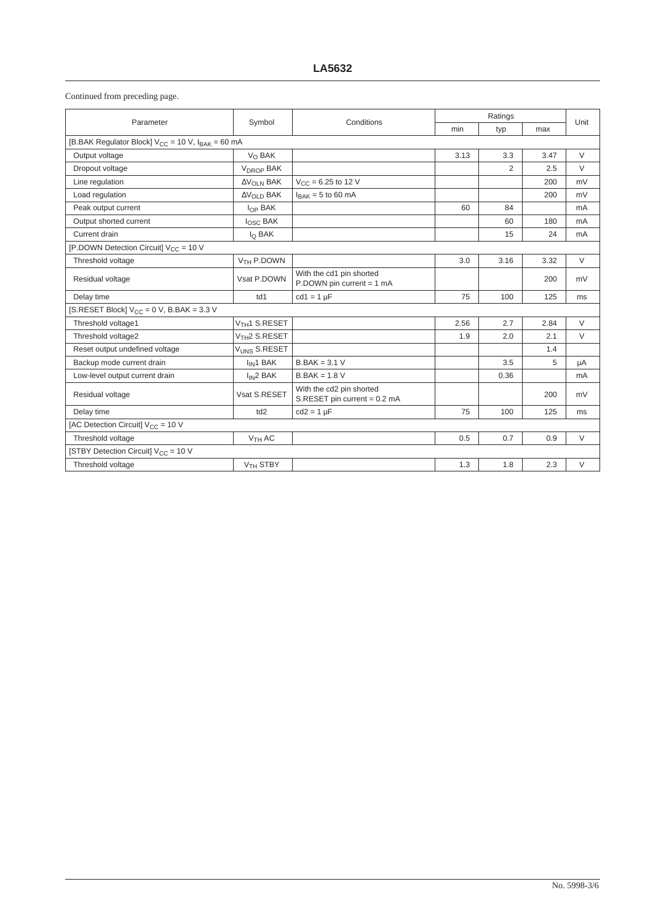Continued from preceding page.

| Parameter                                                  | Symbol                      | Conditions                                               | Ratings |      |      | Unit   |  |
|------------------------------------------------------------|-----------------------------|----------------------------------------------------------|---------|------|------|--------|--|
|                                                            |                             |                                                          | min     | typ  | max  |        |  |
| [B.BAK Regulator Block] $V_{CC}$ = 10 V, $I_{BAK}$ = 60 mA |                             |                                                          |         |      |      |        |  |
| Output voltage                                             | $V_{\Omega}$ BAK            |                                                          | 3.13    | 3.3  | 3.47 | $\vee$ |  |
| Dropout voltage                                            | <b>VDROP BAK</b>            |                                                          |         | 2    | 2.5  | $\vee$ |  |
| Line regulation                                            | $\Delta V_{OLN}$ BAK        | $V_{\text{CC}} = 6.25$ to 12 V                           |         |      | 200  | mV     |  |
| Load regulation                                            | $\Delta V_{\Omega I}$ D BAK | $I_{BAK} = 5$ to 60 mA                                   |         |      | 200  | mV     |  |
| Peak output current                                        | $I_{OP}$ BAK                |                                                          | 60      | 84   |      | mA     |  |
| Output shorted current                                     | losc BAK                    |                                                          |         | 60   | 180  | mA     |  |
| Current drain                                              | I <sub>O</sub> BAK          |                                                          |         | 15   | 24   | mA     |  |
| [P.DOWN Detection Circuit] $V_{CC}$ = 10 V                 |                             |                                                          |         |      |      |        |  |
| Threshold voltage                                          | V <sub>TH</sub> P.DOWN      |                                                          | 3.0     | 3.16 | 3.32 | $\vee$ |  |
| Residual voltage                                           | Vsat P.DOWN                 | With the cd1 pin shorted<br>P.DOWN pin current = 1 mA    |         |      | 200  | mV     |  |
| Delay time                                                 | td1                         | $cd1 = 1 \mu F$                                          | 75      | 100  | 125  | ms     |  |
| [S.RESET Block] $V_{CC} = 0$ V, B.BAK = 3.3 V              |                             |                                                          |         |      |      |        |  |
| Threshold voltage1                                         | V <sub>TH</sub> 1 S.RESET   |                                                          | 2.56    | 2.7  | 2.84 | $\vee$ |  |
| Threshold voltage2                                         | V <sub>TH</sub> 2 S.RESET   |                                                          | 1.9     | 2.0  | 2.1  | $\vee$ |  |
| Reset output undefined voltage                             | VUNS S.RESET                |                                                          |         |      | 1.4  |        |  |
| Backup mode current drain                                  | I <sub>IN</sub> 1 BAK       | $B.BAK = 3.1 V$                                          |         | 3.5  | 5    | μA     |  |
| Low-level output current drain                             | $I_{IN}2 BAK$               | $B.BAK = 1.8 V$                                          |         | 0.36 |      | mA     |  |
| Residual voltage                                           | Vsat S.RESET                | With the cd2 pin shorted<br>S.RESET pin current = 0.2 mA |         |      | 200  | mV     |  |
| Delay time                                                 | td2                         | $cd2 = 1 \mu F$                                          | 75      | 100  | 125  | ms     |  |
| [AC Detection Circuit] V <sub>CC</sub> = 10 V              |                             |                                                          |         |      |      |        |  |
| Threshold voltage                                          | V <sub>TH</sub> AC          |                                                          | 0.5     | 0.7  | 0.9  | $\vee$ |  |
| [STBY Detection Circuit] V <sub>CC</sub> = 10 V            |                             |                                                          |         |      |      |        |  |
| Threshold voltage                                          | V <sub>TH</sub> STBY        |                                                          | 1.3     | 1.8  | 2.3  | $\vee$ |  |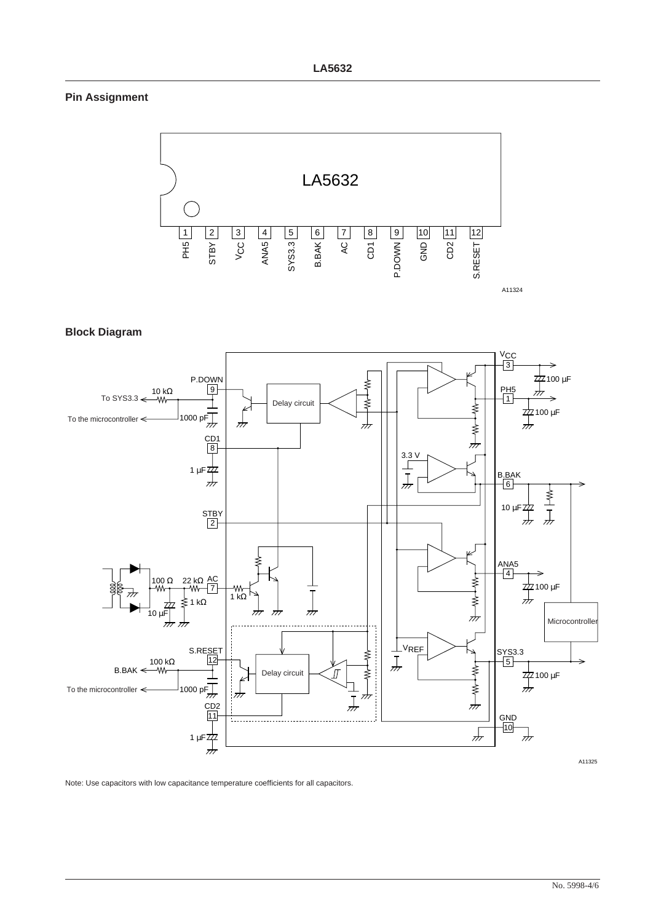#### **Pin Assignment**



**Block Diagram**



Note: Use capacitors with low capacitance temperature coefficients for all capacitors.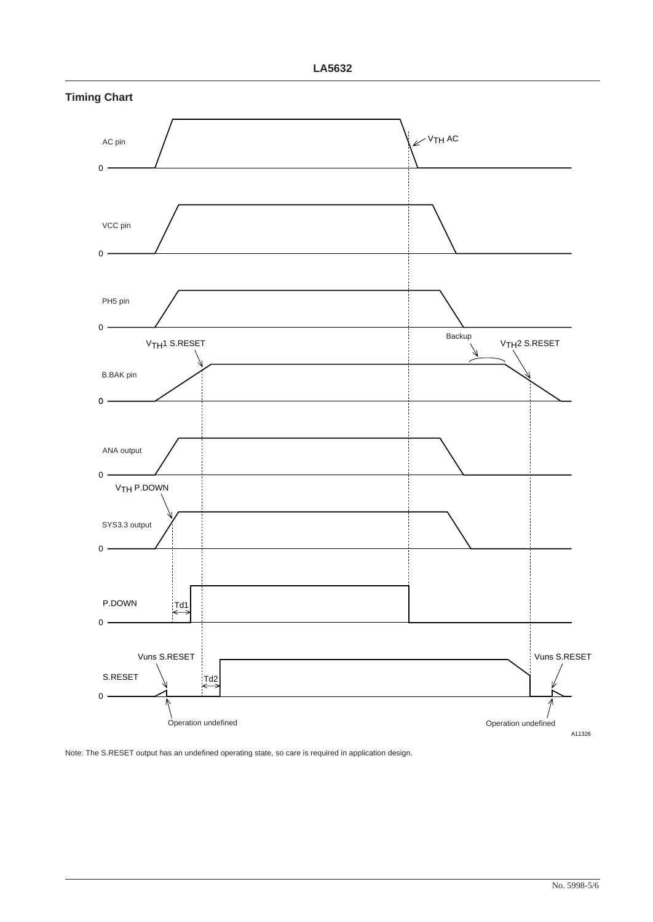

**Timing Chart**

Note: The S.RESET output has an undefined operating state, so care is required in application design.